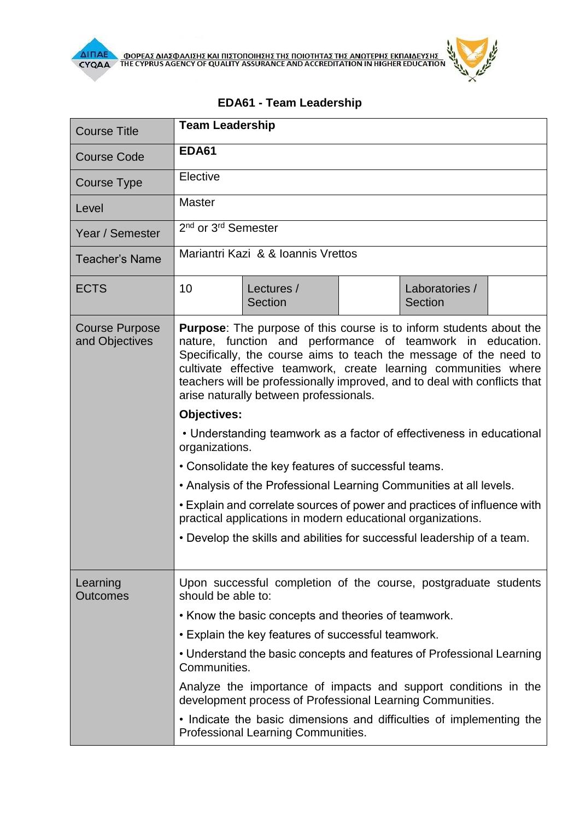

## **EDA61 - Team Leadership**

| <b>Course Title</b>                     | <b>Team Leadership</b>                                                                                                                                                                                                                                                                                                                                                                                  |                                                                                                            |  |                           |  |  |
|-----------------------------------------|---------------------------------------------------------------------------------------------------------------------------------------------------------------------------------------------------------------------------------------------------------------------------------------------------------------------------------------------------------------------------------------------------------|------------------------------------------------------------------------------------------------------------|--|---------------------------|--|--|
| <b>Course Code</b>                      | <b>EDA61</b>                                                                                                                                                                                                                                                                                                                                                                                            |                                                                                                            |  |                           |  |  |
| <b>Course Type</b>                      | Elective                                                                                                                                                                                                                                                                                                                                                                                                |                                                                                                            |  |                           |  |  |
| Level                                   | <b>Master</b>                                                                                                                                                                                                                                                                                                                                                                                           |                                                                                                            |  |                           |  |  |
| Year / Semester                         | 2 <sup>nd</sup> or 3 <sup>rd</sup> Semester                                                                                                                                                                                                                                                                                                                                                             |                                                                                                            |  |                           |  |  |
| <b>Teacher's Name</b>                   | Mariantri Kazi & & Ioannis Vrettos                                                                                                                                                                                                                                                                                                                                                                      |                                                                                                            |  |                           |  |  |
| <b>ECTS</b>                             | 10                                                                                                                                                                                                                                                                                                                                                                                                      | Lectures /<br>Section                                                                                      |  | Laboratories /<br>Section |  |  |
| <b>Course Purpose</b><br>and Objectives | <b>Purpose:</b> The purpose of this course is to inform students about the<br>nature, function and performance of teamwork in education.<br>Specifically, the course aims to teach the message of the need to<br>cultivate effective teamwork, create learning communities where<br>teachers will be professionally improved, and to deal with conflicts that<br>arise naturally between professionals. |                                                                                                            |  |                           |  |  |
|                                         | <b>Objectives:</b>                                                                                                                                                                                                                                                                                                                                                                                      |                                                                                                            |  |                           |  |  |
|                                         | • Understanding teamwork as a factor of effectiveness in educational<br>organizations.                                                                                                                                                                                                                                                                                                                  |                                                                                                            |  |                           |  |  |
|                                         | • Consolidate the key features of successful teams.                                                                                                                                                                                                                                                                                                                                                     |                                                                                                            |  |                           |  |  |
|                                         | • Analysis of the Professional Learning Communities at all levels.                                                                                                                                                                                                                                                                                                                                      |                                                                                                            |  |                           |  |  |
|                                         | • Explain and correlate sources of power and practices of influence with<br>practical applications in modern educational organizations.                                                                                                                                                                                                                                                                 |                                                                                                            |  |                           |  |  |
|                                         | • Develop the skills and abilities for successful leadership of a team.                                                                                                                                                                                                                                                                                                                                 |                                                                                                            |  |                           |  |  |
| Learning<br><b>Outcomes</b>             | Upon successful completion of the course, postgraduate students<br>should be able to:<br>• Know the basic concepts and theories of teamwork.<br>• Explain the key features of successful teamwork.                                                                                                                                                                                                      |                                                                                                            |  |                           |  |  |
|                                         |                                                                                                                                                                                                                                                                                                                                                                                                         |                                                                                                            |  |                           |  |  |
|                                         |                                                                                                                                                                                                                                                                                                                                                                                                         |                                                                                                            |  |                           |  |  |
|                                         | • Understand the basic concepts and features of Professional Learning<br>Communities.                                                                                                                                                                                                                                                                                                                   |                                                                                                            |  |                           |  |  |
|                                         | Analyze the importance of impacts and support conditions in the<br>development process of Professional Learning Communities.                                                                                                                                                                                                                                                                            |                                                                                                            |  |                           |  |  |
|                                         |                                                                                                                                                                                                                                                                                                                                                                                                         | • Indicate the basic dimensions and difficulties of implementing the<br>Professional Learning Communities. |  |                           |  |  |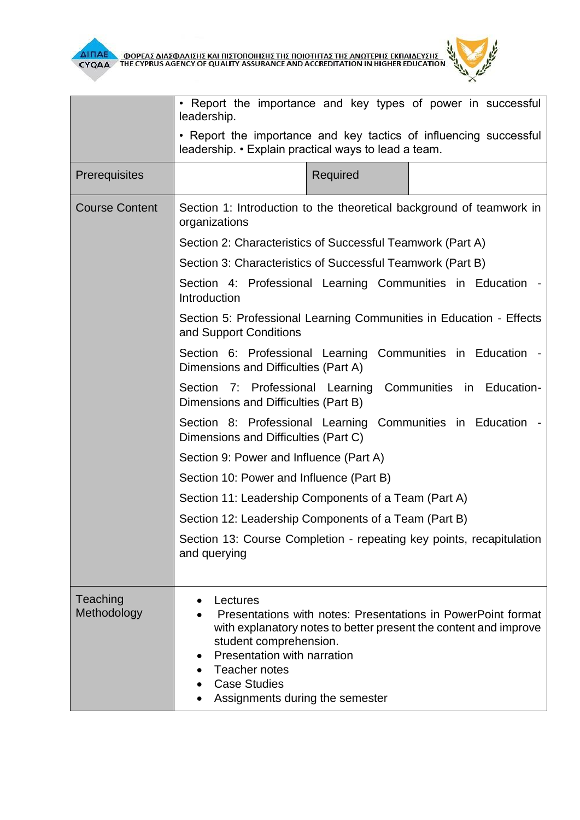



|                         | • Report the importance and key types of power in successful<br>leadership.                                                                                                                                                                                                      |  |  |  |  |
|-------------------------|----------------------------------------------------------------------------------------------------------------------------------------------------------------------------------------------------------------------------------------------------------------------------------|--|--|--|--|
|                         | • Report the importance and key tactics of influencing successful<br>leadership. • Explain practical ways to lead a team.                                                                                                                                                        |  |  |  |  |
| Prerequisites           | Required                                                                                                                                                                                                                                                                         |  |  |  |  |
| <b>Course Content</b>   | Section 1: Introduction to the theoretical background of teamwork in<br>organizations                                                                                                                                                                                            |  |  |  |  |
|                         | Section 2: Characteristics of Successful Teamwork (Part A)                                                                                                                                                                                                                       |  |  |  |  |
|                         | Section 3: Characteristics of Successful Teamwork (Part B)                                                                                                                                                                                                                       |  |  |  |  |
|                         | Section 4: Professional Learning Communities in Education -<br>Introduction                                                                                                                                                                                                      |  |  |  |  |
|                         | Section 5: Professional Learning Communities in Education - Effects<br>and Support Conditions                                                                                                                                                                                    |  |  |  |  |
|                         | Section 6: Professional Learning Communities in Education -<br>Dimensions and Difficulties (Part A)                                                                                                                                                                              |  |  |  |  |
|                         | Section 7: Professional Learning Communities in Education-<br>Dimensions and Difficulties (Part B)                                                                                                                                                                               |  |  |  |  |
|                         | Section 8: Professional Learning Communities in Education<br>Dimensions and Difficulties (Part C)                                                                                                                                                                                |  |  |  |  |
|                         | Section 9: Power and Influence (Part A)                                                                                                                                                                                                                                          |  |  |  |  |
|                         | Section 10: Power and Influence (Part B)                                                                                                                                                                                                                                         |  |  |  |  |
|                         | Section 11: Leadership Components of a Team (Part A)                                                                                                                                                                                                                             |  |  |  |  |
|                         | Section 12: Leadership Components of a Team (Part B)                                                                                                                                                                                                                             |  |  |  |  |
|                         | Section 13: Course Completion - repeating key points, recapitulation<br>and querying                                                                                                                                                                                             |  |  |  |  |
| Teaching<br>Methodology | Lectures<br>Presentations with notes: Presentations in PowerPoint format<br>with explanatory notes to better present the content and improve<br>student comprehension.<br>Presentation with narration<br>Teacher notes<br><b>Case Studies</b><br>Assignments during the semester |  |  |  |  |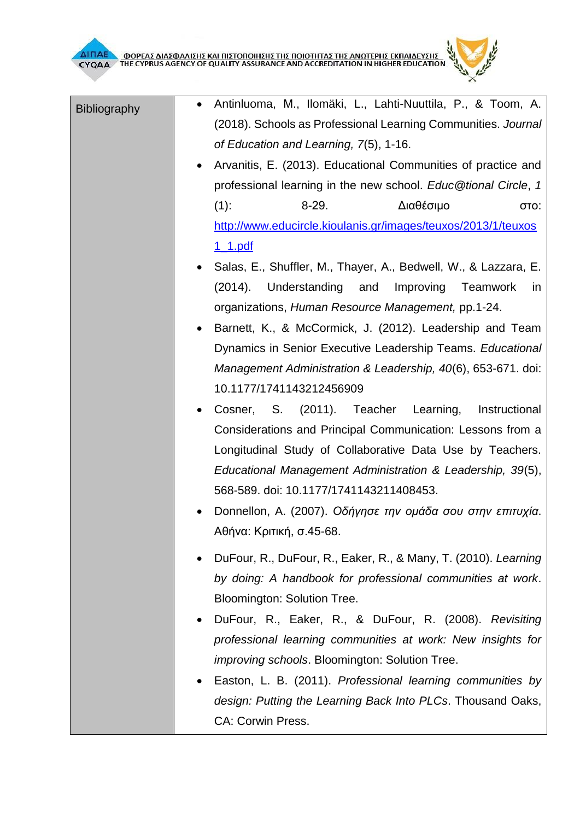[1\\_1.pdf](http://www.educircle.kioulanis.gr/images/teuxos/2013/1/teuxos1_1.pdf)



- Salas, E., Shuffler, M., Thayer, A., Bedwell, W., & Lazzara, E. (2014). Understanding and Improving Teamwork in organizations, *Human Resource Management,* pp.1-24.
- Barnett, K., & McCormick, J. (2012). Leadership and Team Dynamics in Senior Executive Leadership Teams. *Educational Management Administration & Leadership, 40*(6), 653-671. doi: 10.1177/1741143212456909
- Cosner, S. (2011). Teacher Learning, Instructional Considerations and Principal Communication: Lessons from a Longitudinal Study of Collaborative Data Use by Teachers. *Educational Management Administration & Leadership, 39*(5), 568-589. doi: 10.1177/1741143211408453.
- Donnellon, A. (2007). *Οδήγησε την ομάδα σου στην επιτυχία*. Αθήνα: Κριτική, σ.45-68.
- DuFour, R., DuFour, R., Eaker, R., & Many, T. (2010). *Learning by doing: A handbook for professional communities at work*. Bloomington: Solution Tree.
- DuFour, R., Eaker, R., & DuFour, R. (2008). *Revisiting professional learning communities at work: New insights for improving schools*. Bloomington: Solution Tree.
- Easton, L. B. (2011). *Professional learning communities by design: Putting the Learning Back Into PLCs*. Thousand Oaks, CA: Corwin Press.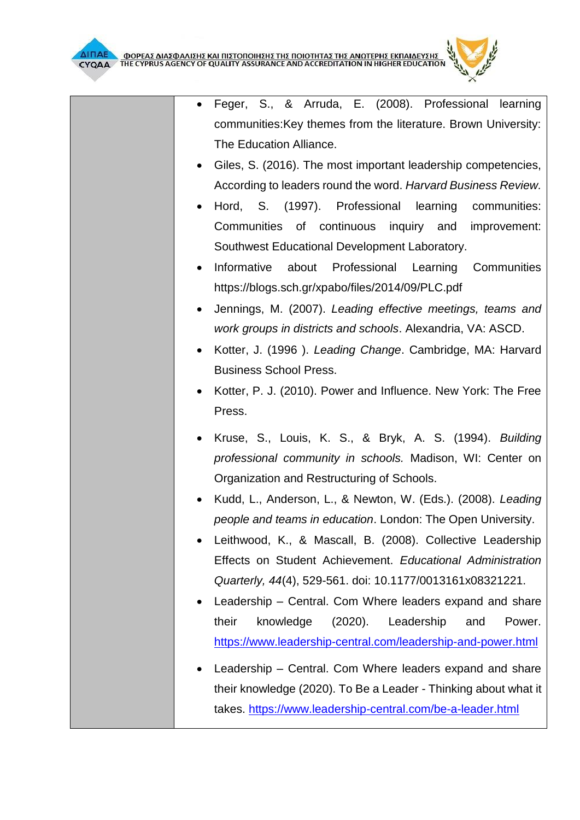

- Feger, S., & Arruda, E. (2008). Professional learning communities:Key themes from the literature. Brown University: The Education Alliance.
- Giles, S. (2016). The most important leadership competencies, According to leaders round the word. *Harvard Business Review.*
- Hord, S. (1997). Professional learning communities: Communities of continuous inquiry and improvement: Southwest Educational Development Laboratory.
- Informative about Professional Learning Communities https://blogs.sch.gr/xpabo/files/2014/09/PLC.pdf
- Jennings, M. (2007). *Leading effective meetings, teams and work groups in districts and schools*. Alexandria, VA: ASCD.
- Kotter, J. (1996 ). *Leading Change*. Cambridge, MA: Harvard Business School Press.
- Kotter, P. J. (2010). Power and Influence. New York: The Free Press.
- Kruse, S., Louis, K. S., & Bryk, A. S. (1994). *Building professional community in schools.* Madison, WI: Center on Organization and Restructuring of Schools.
- Kudd, L., Anderson, L., & Newton, W. (Eds.). (2008). *Leading people and teams in education*. London: The Open University.
- Leithwood, K., & Mascall, B. (2008). Collective Leadership Effects on Student Achievement. *Educational Administration Quarterly, 44*(4), 529-561. doi: 10.1177/0013161x08321221.
- Leadership Central. Com Where leaders expand and share their knowledge (2020). Leadership and Power. <https://www.leadership-central.com/leadership-and-power.html>
- Leadership Central. Com Where leaders expand and share their knowledge (2020). To Be a Leader - Thinking about what it takes.<https://www.leadership-central.com/be-a-leader.html>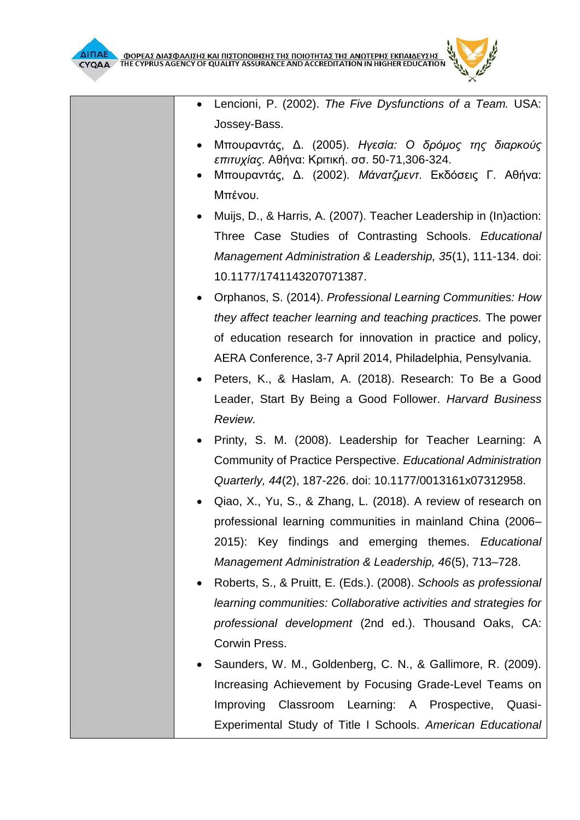- Lencioni, P. (2002). *The Five Dysfunctions of a Team.* USA: Jossey-Bass.
- Μπουραντάς, Δ. (2005). *Ηγεσία: Ο δρόμος της διαρκούς επιτυχίας.* Αθήνα: Κριτική. σσ. 50-71,306-324.
- Μπουραντάς, Δ. (2002). *Μάνατζμεντ*. Εκδόσεις Γ. Αθήνα: Μπένου.
- Muijs, D., & Harris, A. (2007). Teacher Leadership in (In)action: Three Case Studies of Contrasting Schools. *Educational Management Administration & Leadership, 35*(1), 111-134. doi: 10.1177/1741143207071387.
- Orphanos, S. (2014). *Professional Learning Communities: How they affect teacher learning and teaching practices.* The power of education research for innovation in practice and policy, AERA Conference, 3-7 April 2014, Philadelphia, Pensylvania.
- Peters, K., & Haslam, A. (2018). Research: To Be a Good Leader, Start By Being a Good Follower. *Harvard Business Review.*
- Printy, S. M. (2008). Leadership for Teacher Learning: A Community of Practice Perspective. *Educational Administration Quarterly, 44*(2), 187-226. doi: 10.1177/0013161x07312958.
- Qiao, X., Yu, S., & Zhang, L. (2018). A review of research on professional learning communities in mainland China (2006– 2015): Key findings and emerging themes. *Educational Management Administration & Leadership, 46*(5), 713–728.
- Roberts, S., & Pruitt, E. (Eds.). (2008). *Schools as professional learning communities: Collaborative activities and strategies for professional development* (2nd ed.). Thousand Oaks, CA: Corwin Press.
- Saunders, W. M., Goldenberg, C. N., & Gallimore, R. (2009). Increasing Achievement by Focusing Grade-Level Teams on Improving Classroom Learning: A Prospective, Quasi-Experimental Study of Title I Schools. *American Educational*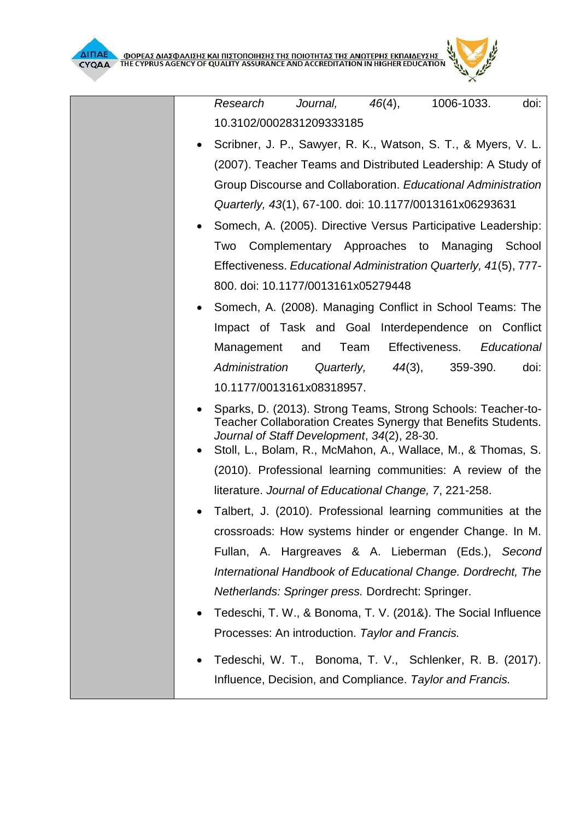

*Research Journal, 46*(4), 1006-1033. doi: 10.3102/0002831209333185

- Scribner, J. P., Sawyer, R. K., Watson, S. T., & Myers, V. L. (2007). Teacher Teams and Distributed Leadership: A Study of Group Discourse and Collaboration. *Educational Administration Quarterly, 43*(1), 67-100. doi: 10.1177/0013161x06293631
- Somech, A. (2005). Directive Versus Participative Leadership: Two Complementary Approaches to Managing School Effectiveness. *Educational Administration Quarterly, 41*(5), 777- 800. doi: 10.1177/0013161x05279448
- Somech, A. (2008). Managing Conflict in School Teams: The Impact of Task and Goal Interdependence on Conflict Management and Team Effectiveness. *Educational Administration Quarterly, 44*(3), 359-390. doi: 10.1177/0013161x08318957.
- Sparks, D. (2013). Strong Teams, Strong Schools: Teacher-to-Teacher Collaboration Creates Synergy that Benefits Students. *Journal of Staff Development*, *34*(2), 28-30.
- Stoll, L., Bolam, R., McMahon, A., Wallace, M., & Thomas, S. (2010). Professional learning communities: A review of the literature. *Journal of Educational Change, 7*, 221-258.
- Talbert, J. (2010). Professional learning communities at the crossroads: How systems hinder or engender Change. In M. Fullan, A. Hargreaves & A. Lieberman (Eds.), *Second International Handbook of Educational Change. Dordrecht, The Netherlands: Springer press.* Dordrecht: Springer.
- Tedeschi, T. W., & Bonoma, T. V. (201&). The Social Influence Processes: An introduction. *Taylor and Francis.*
- Tedeschi, W. T., Bonoma, T. V., Schlenker, R. B. (2017). Influence, Decision, and Compliance. *Taylor and Francis.*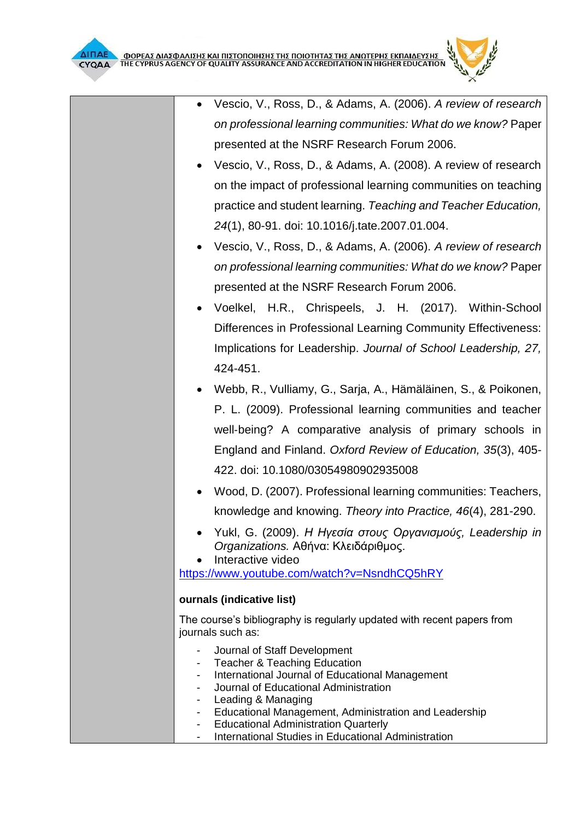

- Vescio, V., Ross, D., & Adams, A. (2008). A review of research on the impact of professional learning communities on teaching practice and student learning. *Teaching and Teacher Education, 24*(1), 80-91. doi: 10.1016/j.tate.2007.01.004.
- Vescio, V., Ross, D., & Adams, A. (2006). *A review of research on professional learning communities: What do we know?* Paper presented at the NSRF Research Forum 2006.
- Voelkel, H.R., Chrispeels, J. H. (2017). Within-School Differences in Professional Learning Community Effectiveness: Implications for Leadership. *Journal of School Leadership, 27,*  424-451.
- Webb, R., Vulliamy, G., Sarja, A., Hämäläinen, S., & Poikonen, P. L. (2009). Professional learning communities and teacher well-being? A comparative analysis of primary schools in England and Finland. *Oxford Review of Education, 35*(3), 405- 422. doi: 10.1080/03054980902935008
- Wood, D. (2007). Professional learning communities: Teachers, knowledge and knowing. *Theory into Practice, 46*(4), 281-290.
- Yukl, G. (2009). *Η Ηγεσία στους Οργανισμούς, Leadership in Organizations.* Αθήνα: Κλειδάριθμος.

Interactive video

<https://www.youtube.com/watch?v=NsndhCQ5hRY>

## **ournals (indicative list)**

The course's bibliography is regularly updated with recent papers from journals such as:

- Journal of Staff Development
- Teacher & Teaching Education
- International Journal of Educational Management
- Journal of Educational Administration
- Leading & Managing
- Educational Management, Administration and Leadership
- Educational Administration Quarterly
- International Studies in Educational Administration